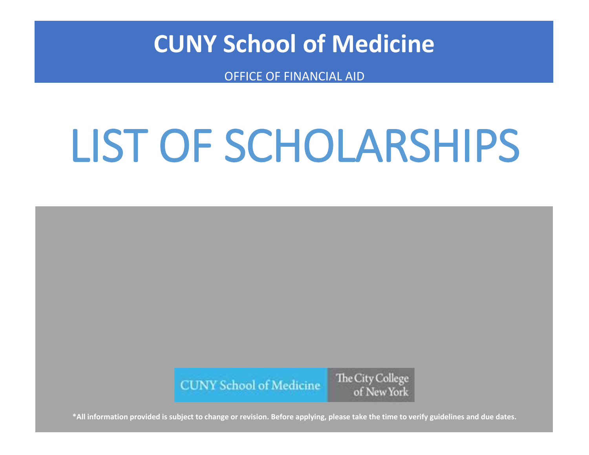## **CUNY School of Medicine**

OFFICE OF FINANCIAL AID

## LIST OF SCHOLARSHIPS



**\*All information provided is subject to change or revision. Before applying, please take the time to verify guidelines and due dates.**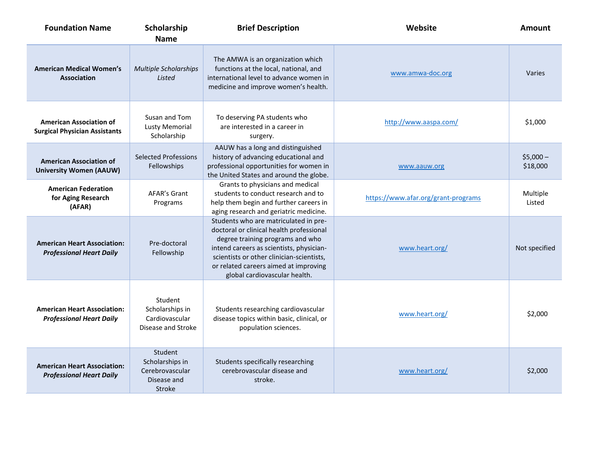| <b>Foundation Name</b>                                                 | Scholarship<br><b>Name</b>                                                    | <b>Brief Description</b>                                                                                                                                                                                                                                                                 | Website                             | Amount                |
|------------------------------------------------------------------------|-------------------------------------------------------------------------------|------------------------------------------------------------------------------------------------------------------------------------------------------------------------------------------------------------------------------------------------------------------------------------------|-------------------------------------|-----------------------|
| <b>American Medical Women's</b><br><b>Association</b>                  | <b>Multiple Scholarships</b><br>Listed                                        | The AMWA is an organization which<br>functions at the local, national, and<br>international level to advance women in<br>medicine and improve women's health.                                                                                                                            | www.amwa-doc.org                    | Varies                |
| <b>American Association of</b><br><b>Surgical Physician Assistants</b> | Susan and Tom<br><b>Lusty Memorial</b><br>Scholarship                         | To deserving PA students who<br>are interested in a career in<br>surgery.                                                                                                                                                                                                                | http://www.aaspa.com/               | \$1,000               |
| <b>American Association of</b><br><b>University Women (AAUW)</b>       | <b>Selected Professions</b><br>Fellowships                                    | AAUW has a long and distinguished<br>history of advancing educational and<br>professional opportunities for women in<br>the United States and around the globe.                                                                                                                          | www.aauw.org                        | $$5,000-$<br>\$18,000 |
| <b>American Federation</b><br>for Aging Research<br>(AFAR)             | AFAR's Grant<br>Programs                                                      | Grants to physicians and medical<br>students to conduct research and to<br>help them begin and further careers in<br>aging research and geriatric medicine.                                                                                                                              | https://www.afar.org/grant-programs | Multiple<br>Listed    |
| <b>American Heart Association:</b><br><b>Professional Heart Daily</b>  | Pre-doctoral<br>Fellowship                                                    | Students who are matriculated in pre-<br>doctoral or clinical health professional<br>degree training programs and who<br>intend careers as scientists, physician-<br>scientists or other clinician-scientists,<br>or related careers aimed at improving<br>global cardiovascular health. | www.heart.org/                      | Not specified         |
| <b>American Heart Association:</b><br><b>Professional Heart Daily</b>  | Student<br>Scholarships in<br>Cardiovascular<br>Disease and Stroke            | Students researching cardiovascular<br>disease topics within basic, clinical, or<br>population sciences.                                                                                                                                                                                 | www.heart.org/                      | \$2,000               |
| <b>American Heart Association:</b><br><b>Professional Heart Daily</b>  | Student<br>Scholarships in<br>Cerebrovascular<br>Disease and<br><b>Stroke</b> | Students specifically researching<br>cerebrovascular disease and<br>stroke.                                                                                                                                                                                                              | www.heart.org/                      | \$2,000               |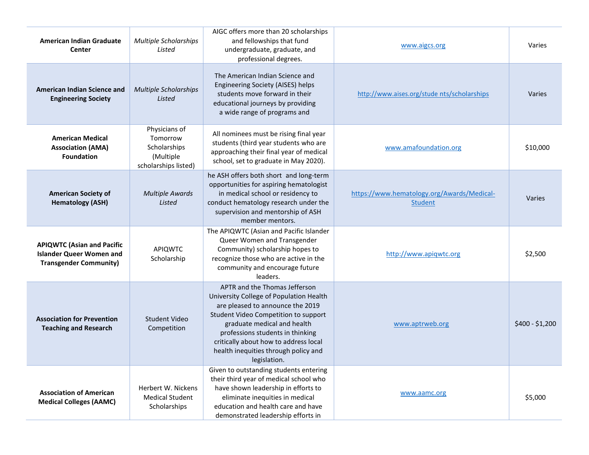| <b>American Indian Graduate</b><br>Center                                                             | Multiple Scholarships<br>Listed                                                | AIGC offers more than 20 scholarships<br>and fellowships that fund<br>undergraduate, graduate, and<br>professional degrees.                                                                                                                                                                                              | www.aigcs.org                                                | Varies          |
|-------------------------------------------------------------------------------------------------------|--------------------------------------------------------------------------------|--------------------------------------------------------------------------------------------------------------------------------------------------------------------------------------------------------------------------------------------------------------------------------------------------------------------------|--------------------------------------------------------------|-----------------|
| <b>American Indian Science and</b><br><b>Engineering Society</b>                                      | <b>Multiple Scholarships</b><br>Listed                                         | The American Indian Science and<br>Engineering Society (AISES) helps<br>students move forward in their<br>educational journeys by providing<br>a wide range of programs and                                                                                                                                              | http://www.aises.org/stude nts/scholarships                  | Varies          |
| <b>American Medical</b><br><b>Association (AMA)</b><br><b>Foundation</b>                              | Physicians of<br>Tomorrow<br>Scholarships<br>(Multiple<br>scholarships listed) | All nominees must be rising final year<br>students (third year students who are<br>approaching their final year of medical<br>school, set to graduate in May 2020).                                                                                                                                                      | www.amafoundation.org                                        | \$10,000        |
| <b>American Society of</b><br><b>Hematology (ASH)</b>                                                 | <b>Multiple Awards</b><br>Listed                                               | he ASH offers both short and long-term<br>opportunities for aspiring hematologist<br>in medical school or residency to<br>conduct hematology research under the<br>supervision and mentorship of ASH<br>member mentors.                                                                                                  | https://www.hematology.org/Awards/Medical-<br><b>Student</b> | <b>Varies</b>   |
| <b>APIQWTC (Asian and Pacific</b><br><b>Islander Queer Women and</b><br><b>Transgender Community)</b> | APIQWTC<br>Scholarship                                                         | The APIQWTC (Asian and Pacific Islander<br>Queer Women and Transgender<br>Community) scholarship hopes to<br>recognize those who are active in the<br>community and encourage future<br>leaders.                                                                                                                         | http://www.apiqwtc.org                                       | \$2,500         |
| <b>Association for Prevention</b><br><b>Teaching and Research</b>                                     | Student Video<br>Competition                                                   | APTR and the Thomas Jefferson<br>University College of Population Health<br>are pleased to announce the 2019<br>Student Video Competition to support<br>graduate medical and health<br>professions students in thinking<br>critically about how to address local<br>health inequities through policy and<br>legislation. | www.aptrweb.org                                              | $$400 - $1,200$ |
| <b>Association of American</b><br><b>Medical Colleges (AAMC)</b>                                      | Herbert W. Nickens<br><b>Medical Student</b><br>Scholarships                   | Given to outstanding students entering<br>their third year of medical school who<br>have shown leadership in efforts to<br>eliminate inequities in medical<br>education and health care and have<br>demonstrated leadership efforts in                                                                                   | www.aamc.org                                                 | \$5,000         |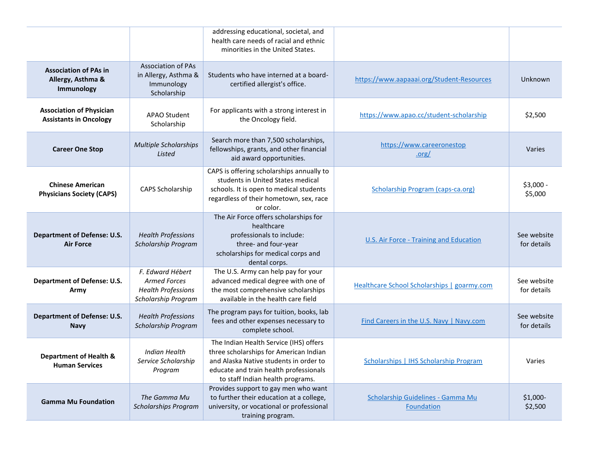|                                                                  |                                                                                             | addressing educational, societal, and<br>health care needs of racial and ethnic<br>minorities in the United States.                                                                                      |                                                    |                            |
|------------------------------------------------------------------|---------------------------------------------------------------------------------------------|----------------------------------------------------------------------------------------------------------------------------------------------------------------------------------------------------------|----------------------------------------------------|----------------------------|
| <b>Association of PAs in</b><br>Allergy, Asthma &<br>Immunology  | <b>Association of PAs</b><br>in Allergy, Asthma &<br>Immunology<br>Scholarship              | Students who have interned at a board-<br>certified allergist's office.                                                                                                                                  | https://www.aapaaai.org/Student-Resources          | Unknown                    |
| <b>Association of Physician</b><br><b>Assistants in Oncology</b> | APAO Student<br>Scholarship                                                                 | For applicants with a strong interest in<br>the Oncology field.                                                                                                                                          | https://www.apao.cc/student-scholarship            | \$2,500                    |
| <b>Career One Stop</b>                                           | <b>Multiple Scholarships</b><br>Listed                                                      | Search more than 7,500 scholarships,<br>fellowships, grants, and other financial<br>aid award opportunities.                                                                                             | https://www.careeronestop<br>.org/                 | Varies                     |
| <b>Chinese American</b><br><b>Physicians Society (CAPS)</b>      | CAPS Scholarship                                                                            | CAPS is offering scholarships annually to<br>students in United States medical<br>schools. It is open to medical students<br>regardless of their hometown, sex, race<br>or color.                        | <b>Scholarship Program (caps-ca.org)</b>           | $$3,000 -$<br>\$5,000      |
| <b>Department of Defense: U.S.</b><br><b>Air Force</b>           | <b>Health Professions</b><br>Scholarship Program                                            | The Air Force offers scholarships for<br>healthcare<br>professionals to include:<br>three- and four-year<br>scholarships for medical corps and<br>dental corps.                                          | <b>U.S. Air Force - Training and Education</b>     | See website<br>for details |
| <b>Department of Defense: U.S.</b><br>Army                       | F. Edward Hébert<br><b>Armed Forces</b><br><b>Health Professions</b><br>Scholarship Program | The U.S. Army can help pay for your<br>advanced medical degree with one of<br>the most comprehensive scholarships<br>available in the health care field                                                  | <b>Healthcare School Scholarships   goarmy.com</b> | See website<br>for details |
| <b>Department of Defense: U.S.</b><br><b>Navy</b>                | <b>Health Professions</b><br>Scholarship Program                                            | The program pays for tuition, books, lab<br>fees and other expenses necessary to<br>complete school.                                                                                                     | Find Careers in the U.S. Navy   Navy.com           | See website<br>for details |
| <b>Department of Health &amp;</b><br><b>Human Services</b>       | Indian Health<br>Service Scholarship<br>Program                                             | The Indian Health Service (IHS) offers<br>three scholarships for American Indian<br>and Alaska Native students in order to<br>educate and train health professionals<br>to staff Indian health programs. | <b>Scholarships   IHS Scholarship Program</b>      | Varies                     |
| <b>Gamma Mu Foundation</b>                                       | The Gamma Mu<br><b>Scholarships Program</b>                                                 | Provides support to gay men who want<br>to further their education at a college,<br>university, or vocational or professional<br>training program.                                                       | Scholarship Guidelines - Gamma Mu<br>Foundation    | \$1,000-<br>\$2,500        |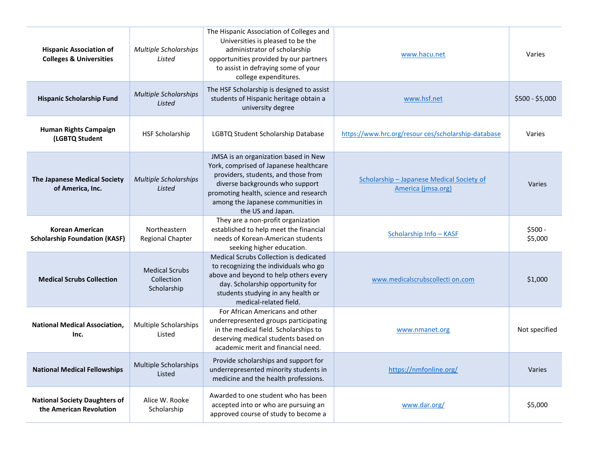| <b>Hispanic Association of</b><br><b>Colleges &amp; Universities</b> | <b>Multiple Scholarships</b><br>Listed             | The Hispanic Association of Colleges and<br>Universities is pleased to be the<br>administrator of scholarship<br>opportunities provided by our partners<br>to assist in defraying some of your<br>college expenditures.                                      | www.hacu.net                                                    | Varies              |
|----------------------------------------------------------------------|----------------------------------------------------|--------------------------------------------------------------------------------------------------------------------------------------------------------------------------------------------------------------------------------------------------------------|-----------------------------------------------------------------|---------------------|
| <b>Hispanic Scholarship Fund</b>                                     | <b>Multiple Scholarships</b><br>Listed             | The HSF Scholarship is designed to assist<br>students of Hispanic heritage obtain a<br>university degree                                                                                                                                                     | www.hsf.net                                                     | $$500 - $5,000$     |
| Human Rights Campaign<br>(LGBTQ Student                              | <b>HSF Scholarship</b>                             | LGBTQ Student Scholarship Database                                                                                                                                                                                                                           | https://www.hrc.org/resour ces/scholarship-database             | Varies              |
| <b>The Japanese Medical Society</b><br>of America, Inc.              | <b>Multiple Scholarships</b><br>Listed             | JMSA is an organization based in New<br>York, comprised of Japanese healthcare<br>providers, students, and those from<br>diverse backgrounds who support<br>promoting health, science and research<br>among the Japanese communities in<br>the US and Japan. | Scholarship - Japanese Medical Society of<br>America (jmsa.org) | Varies              |
| <b>Korean American</b><br><b>Scholarship Foundation (KASF)</b>       | Northeastern<br>Regional Chapter                   | They are a non-profit organization<br>established to help meet the financial<br>needs of Korean-American students<br>seeking higher education.                                                                                                               | Scholarship Info - KASF                                         | $$500 -$<br>\$5,000 |
| <b>Medical Scrubs Collection</b>                                     | <b>Medical Scrubs</b><br>Collection<br>Scholarship | Medical Scrubs Collection is dedicated<br>to recognizing the individuals who go<br>above and beyond to help others every<br>day. Scholarship opportunity for<br>students studying in any health or<br>medical-related field.                                 | www.medicalscrubscollecti on.com                                | \$1,000             |
| <b>National Medical Association,</b><br>Inc.                         | Multiple Scholarships<br>Listed                    | For African Americans and other<br>underrepresented groups participating<br>in the medical field. Scholarships to<br>deserving medical students based on<br>academic merit and financial need.                                                               | www.nmanet.org                                                  | Not specified       |
| <b>National Medical Fellowships</b>                                  | <b>Multiple Scholarships</b><br>Listed             | Provide scholarships and support for<br>underrepresented minority students in<br>medicine and the health professions.                                                                                                                                        | https://nmfonline.org/                                          | Varies              |
| <b>National Society Daughters of</b><br>the American Revolution      | Alice W. Rooke<br>Scholarship                      | Awarded to one student who has been<br>accepted into or who are pursuing an<br>approved course of study to become a                                                                                                                                          | www.dar.org/                                                    | \$5,000             |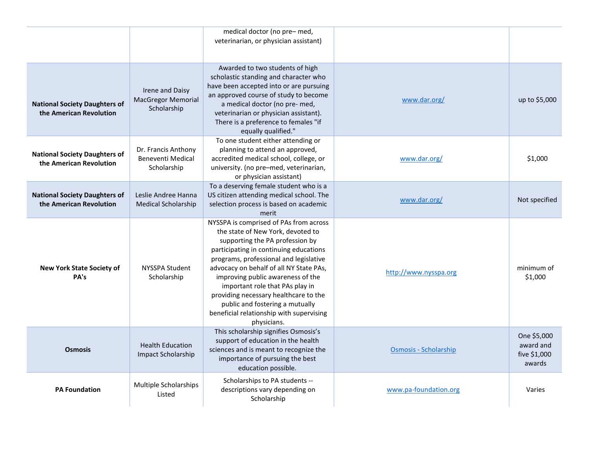|                                                                 |                                                             | medical doctor (no pre-med,<br>veterinarian, or physician assistant)                                                                                                                                                                                                                                                                                                                                                                                         |                       |                                                    |
|-----------------------------------------------------------------|-------------------------------------------------------------|--------------------------------------------------------------------------------------------------------------------------------------------------------------------------------------------------------------------------------------------------------------------------------------------------------------------------------------------------------------------------------------------------------------------------------------------------------------|-----------------------|----------------------------------------------------|
| <b>National Society Daughters of</b><br>the American Revolution | Irene and Daisy<br><b>MacGregor Memorial</b><br>Scholarship | Awarded to two students of high<br>scholastic standing and character who<br>have been accepted into or are pursuing<br>an approved course of study to become<br>a medical doctor (no pre- med,<br>veterinarian or physician assistant).<br>There is a preference to females "if<br>equally qualified."                                                                                                                                                       | www.dar.org/          | up to \$5,000                                      |
| <b>National Society Daughters of</b><br>the American Revolution | Dr. Francis Anthony<br>Beneventi Medical<br>Scholarship     | To one student either attending or<br>planning to attend an approved,<br>accredited medical school, college, or<br>university. (no pre-med, veterinarian,<br>or physician assistant)                                                                                                                                                                                                                                                                         | www.dar.org/          | \$1,000                                            |
| <b>National Society Daughters of</b><br>the American Revolution | Leslie Andree Hanna<br><b>Medical Scholarship</b>           | To a deserving female student who is a<br>US citizen attending medical school. The<br>selection process is based on academic<br>merit                                                                                                                                                                                                                                                                                                                        | www.dar.org/          | Not specified                                      |
| <b>New York State Society of</b><br>PA's                        | NYSSPA Student<br>Scholarship                               | NYSSPA is comprised of PAs from across<br>the state of New York, devoted to<br>supporting the PA profession by<br>participating in continuing educations<br>programs, professional and legislative<br>advocacy on behalf of all NY State PAs,<br>improving public awareness of the<br>important role that PAs play in<br>providing necessary healthcare to the<br>public and fostering a mutually<br>beneficial relationship with supervising<br>physicians. | http://www.nysspa.org | minimum of<br>\$1,000                              |
| <b>Osmosis</b>                                                  | <b>Health Education</b><br>Impact Scholarship               | This scholarship signifies Osmosis's<br>support of education in the health<br>sciences and is meant to recognize the<br>importance of pursuing the best<br>education possible.                                                                                                                                                                                                                                                                               | Osmosis - Scholarship | One \$5,000<br>award and<br>five \$1,000<br>awards |
| <b>PA Foundation</b>                                            | Multiple Scholarships<br>Listed                             | Scholarships to PA students --<br>descriptions vary depending on<br>Scholarship                                                                                                                                                                                                                                                                                                                                                                              | www.pa-foundation.org | Varies                                             |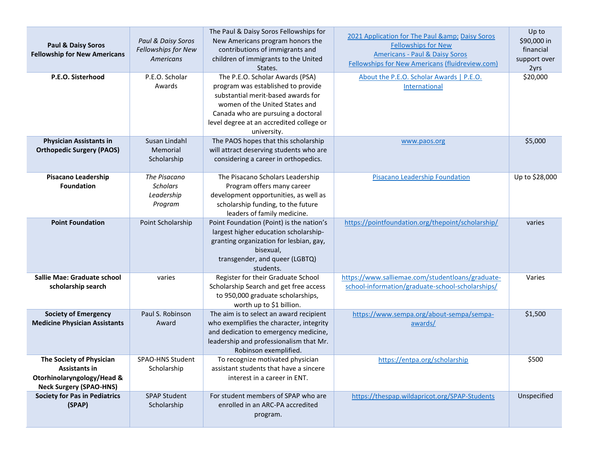| <b>Paul &amp; Daisy Soros</b><br><b>Fellowship for New Americans</b>                                             | Paul & Daisy Soros<br>Fellowships for New<br>Americans   | The Paul & Daisy Soros Fellowships for<br>New Americans program honors the<br>contributions of immigrants and<br>children of immigrants to the United<br>States.                                                                               | 2021 Application for The Paul & Daisy Soros<br><b>Fellowships for New</b><br><b>Americans - Paul &amp; Daisy Soros</b><br>Fellowships for New Americans (fluidreview.com) | Up to<br>\$90,000 in<br>financial<br>support over<br>2yrs |
|------------------------------------------------------------------------------------------------------------------|----------------------------------------------------------|------------------------------------------------------------------------------------------------------------------------------------------------------------------------------------------------------------------------------------------------|---------------------------------------------------------------------------------------------------------------------------------------------------------------------------|-----------------------------------------------------------|
| P.E.O. Sisterhood                                                                                                | P.E.O. Scholar<br>Awards                                 | The P.E.O. Scholar Awards (PSA)<br>program was established to provide<br>substantial merit-based awards for<br>women of the United States and<br>Canada who are pursuing a doctoral<br>level degree at an accredited college or<br>university. | About the P.E.O. Scholar Awards   P.E.O.<br>International                                                                                                                 | \$20,000                                                  |
| <b>Physician Assistants in</b><br><b>Orthopedic Surgery (PAOS)</b>                                               | Susan Lindahl<br>Memorial<br>Scholarship                 | The PAOS hopes that this scholarship<br>will attract deserving students who are<br>considering a career in orthopedics.                                                                                                                        | www.paos.org                                                                                                                                                              | \$5,000                                                   |
| <b>Pisacano Leadership</b><br><b>Foundation</b>                                                                  | The Pisacano<br><b>Scholars</b><br>Leadership<br>Program | The Pisacano Scholars Leadership<br>Program offers many career<br>development opportunities, as well as<br>scholarship funding, to the future<br>leaders of family medicine.                                                                   | <b>Pisacano Leadership Foundation</b>                                                                                                                                     | Up to \$28,000                                            |
| <b>Point Foundation</b>                                                                                          | Point Scholarship                                        | Point Foundation (Point) is the nation's<br>largest higher education scholarship-<br>granting organization for lesbian, gay,<br>bisexual,<br>transgender, and queer (LGBTQ)<br>students.                                                       | https://pointfoundation.org/thepoint/scholarship/                                                                                                                         | varies                                                    |
| Sallie Mae: Graduate school<br>scholarship search                                                                | varies                                                   | Register for their Graduate School<br>Scholarship Search and get free access<br>to 950,000 graduate scholarships,<br>worth up to \$1 billion.                                                                                                  | https://www.salliemae.com/studentloans/graduate-<br>school-information/graduate-school-scholarships/                                                                      | Varies                                                    |
| <b>Society of Emergency</b><br><b>Medicine Physician Assistants</b>                                              | Paul S. Robinson<br>Award                                | The aim is to select an award recipient<br>who exemplifies the character, integrity<br>and dedication to emergency medicine,<br>leadership and professionalism that Mr.<br>Robinson exemplified.                                               | https://www.sempa.org/about-sempa/sempa-<br>awards/                                                                                                                       | \$1,500                                                   |
| The Society of Physician<br><b>Assistants in</b><br>Otorhinolaryngology/Head &<br><b>Neck Surgery (SPAO-HNS)</b> | SPAO-HNS Student<br>Scholarship                          | To recognize motivated physician<br>assistant students that have a sincere<br>interest in a career in ENT.                                                                                                                                     | https://entpa.org/scholarship                                                                                                                                             | \$500                                                     |
| <b>Society for Pas in Pediatrics</b><br>(SPAP)                                                                   | <b>SPAP Student</b><br>Scholarship                       | For student members of SPAP who are<br>enrolled in an ARC-PA accredited<br>program.                                                                                                                                                            | https://thespap.wildapricot.org/SPAP-Students                                                                                                                             | Unspecified                                               |